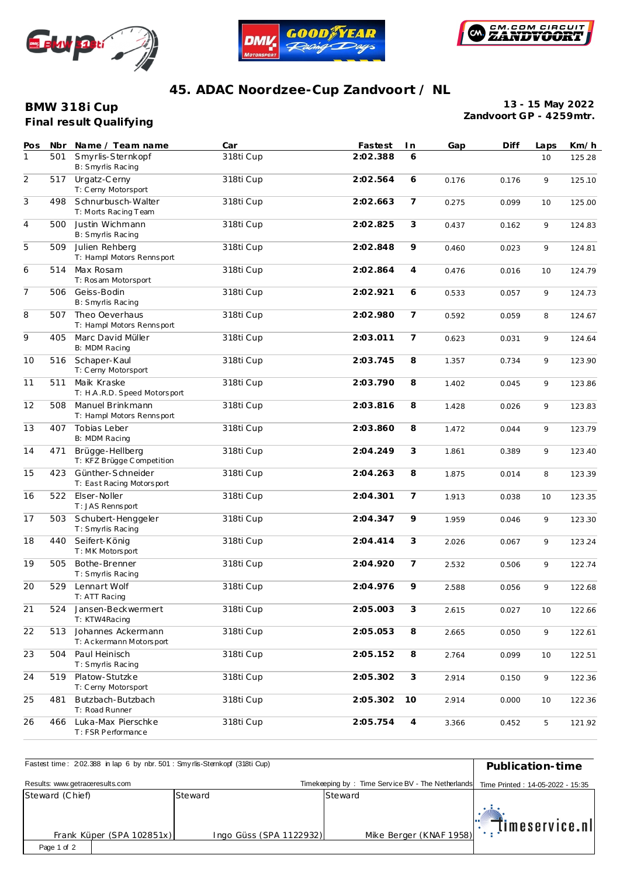





## **45. ADAC Noordzee-Cup Zandvoort / NL**

**Final result Qualifying BMW 318i Cup**

**13 - 15 May 2022 Zandvoort GP - 4259mtr.**

| Pos            | Nbr | Name / Team name                               | Car       | Fastest  | I n            | Gap   | Diff  | Laps | Km/h   |
|----------------|-----|------------------------------------------------|-----------|----------|----------------|-------|-------|------|--------|
| $\mathbf{1}$   | 501 | Smyrlis-Sternkopf<br>B: Smyrlis Racing         | 318ti Cup | 2:02.388 | 6              |       |       | 10   | 125.28 |
| $\overline{2}$ | 517 | Urgatz-Cerny<br>T: Cerny Motorsport            | 318ti Cup | 2:02.564 | 6              | 0.176 | 0.176 | 9    | 125.10 |
| $\mathfrak{Z}$ | 498 | Schnurbusch-Walter<br>T: Morts Racing Team     | 318ti Cup | 2:02.663 | $\overline{7}$ | 0.275 | 0.099 | 10   | 125.00 |
| $\overline{4}$ | 500 | Justin Wichmann<br>B: Smyrlis Racing           | 318ti Cup | 2:02.825 | 3              | 0.437 | 0.162 | 9    | 124.83 |
| 5              | 509 | Julien Rehberg<br>T: Hampl Motors Rennsport    | 318ti Cup | 2:02.848 | 9              | 0.460 | 0.023 | 9    | 124.81 |
| 6              | 514 | Max Rosam<br>T: Rosam Motorsport               | 318ti Cup | 2:02.864 | 4              | 0.476 | 0.016 | 10   | 124.79 |
| $\overline{7}$ | 506 | Geiss-Bodin<br>B: Smyrlis Racing               | 318ti Cup | 2:02.921 | 6              | 0.533 | 0.057 | 9    | 124.73 |
| 8              | 507 | Theo Oeverhaus<br>T: Hampl Motors Rennsport    | 318ti Cup | 2:02.980 | $\overline{7}$ | 0.592 | 0.059 | 8    | 124.67 |
| 9              | 405 | Marc David Müller<br>B: MDM Racing             | 318ti Cup | 2:03.011 | 7              | 0.623 | 0.031 | 9    | 124.64 |
| 10             | 516 | Schaper-Kaul<br>T: Cerny Motorsport            | 318ti Cup | 2:03.745 | 8              | 1.357 | 0.734 | 9    | 123.90 |
| 11             | 511 | Maik Kraske<br>T: H.A.R.D. Speed Motorsport    | 318ti Cup | 2:03.790 | 8              | 1.402 | 0.045 | 9    | 123.86 |
| 12             | 508 | Manuel Brinkmann<br>T: Hampl Motors Rennsport  | 318ti Cup | 2:03.816 | 8              | 1.428 | 0.026 | 9    | 123.83 |
| 13             | 407 | Tobias Leber<br>B: MDM Racing                  | 318ti Cup | 2:03.860 | 8              | 1.472 | 0.044 | 9    | 123.79 |
| 14             | 471 | Brügge-Hellberg<br>T: KFZ Brügge Competition   | 318ti Cup | 2:04.249 | 3              | 1.861 | 0.389 | 9    | 123.40 |
| 15             | 423 | Günther-Schneider<br>T: East Racing Motorsport | 318ti Cup | 2:04.263 | 8              | 1.875 | 0.014 | 8    | 123.39 |
| 16             | 522 | Elser-Noller<br>T: JAS Rennsport               | 318ti Cup | 2:04.301 | 7              | 1.913 | 0.038 | 10   | 123.35 |
| 17             | 503 | Schubert-Henggeler<br>T: Smyrlis Racing        | 318ti Cup | 2:04.347 | 9              | 1.959 | 0.046 | 9    | 123.30 |
| 18             | 440 | Seifert-König<br>T: MK Motors port             | 318ti Cup | 2:04.414 | 3              | 2.026 | 0.067 | 9    | 123.24 |
| 19             | 505 | Bothe-Brenner<br>T: Smyrlis Racing             | 318ti Cup | 2:04.920 | $\overline{7}$ | 2.532 | 0.506 | 9    | 122.74 |
| 20             | 529 | Lennart Wolf<br>T: ATT Racing                  | 318ti Cup | 2:04.976 | 9              | 2.588 | 0.056 | 9    | 122.68 |
| 21             | 524 | Jansen-Beckwermert<br>T: KTW4Racing            | 318ti Cup | 2:05.003 | 3              | 2.615 | 0.027 | 10   | 122.66 |
| 22             | 513 | Johannes Ackermann<br>T: Ackermann Motorsport  | 318ti Cup | 2:05.053 | 8              | 2.665 | 0.050 | 9    | 122.61 |
| 23             | 504 | Paul Heinisch<br>T: Smyrlis Racing             | 318ti Cup | 2:05.152 | 8              | 2.764 | 0.099 | 10   | 122.51 |
| 24             | 519 | Platow-Stutzke<br>T: Cerny Motorsport          | 318ti Cup | 2:05.302 | 3              | 2.914 | 0.150 | 9    | 122.36 |
| 25             | 481 | Butzbach-Butzbach<br>T: Road Runner            | 318ti Cup | 2:05.302 | 10             | 2.914 | 0.000 | 10   | 122.36 |
| 26             | 466 | Luka-Max Pierschke<br>T: FSR Performance       | 318ti Cup | 2:05.754 | $\overline{4}$ | 3.366 | 0.452 | 5    | 121.92 |

| Fastest time: 202.388 in lap 6 by nbr. 501: Smy rlis-Sternkopf (318ti Cup) | Publication-time        |                                                   |                                           |  |  |  |
|----------------------------------------------------------------------------|-------------------------|---------------------------------------------------|-------------------------------------------|--|--|--|
| Results: www.getraceresults.com                                            |                         | Timekeeping by: Time Service BV - The Netherlands | Time Printed: 14-05-2022 - 15:35          |  |  |  |
| Steward (Chief)                                                            | Steward                 | Steward                                           |                                           |  |  |  |
| Frank Küper (SPA 102851x)                                                  | Ingo Güss (SPA 1122932) | Mike Berger (KNAF 1958)                           | $\mathbb{T}$ , $\mathbb{T}$ imeservice.nl |  |  |  |
| Page 1 of 2                                                                |                         |                                                   |                                           |  |  |  |